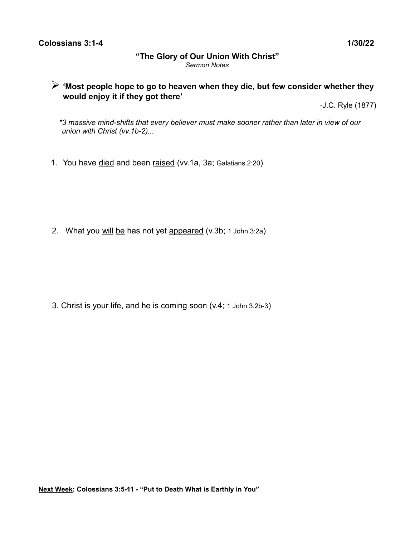#### **Colossians 3:1-4** 1/30/22

#### **"The Glory of Our Union With Christ"** *Sermon Notes*

# ➢ **'Most people hope to go to heaven when they die, but few consider whether they would enjoy it if they got there'**

-J.C. Ryle (1877)

 *\*3 massive mind-shifts that every believer must make sooner rather than later in view of our union with Christ (vv.1b-2)...*

1. You have died and been raised (vv.1a, 3a; Galatians 2:20)

2. What you will be has not yet appeared (v.3b; 1 John 3:2a)

3. Christ is your life, and he is coming soon (v.4; 1 John 3:2b-3)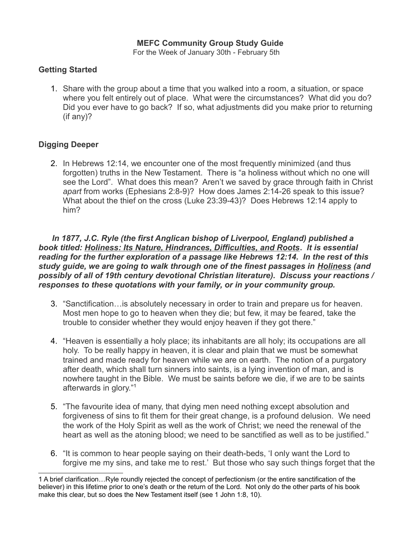### **MEFC Community Group Study Guide**

For the Week of January 30th - February 5th

## **Getting Started**

1. Share with the group about a time that you walked into a room, a situation, or space where you felt entirely out of place. What were the circumstances? What did you do? Did you ever have to go back? If so, what adjustments did you make prior to returning (if any)?

### **Digging Deeper**

2. In Hebrews 12:14, we encounter one of the most frequently minimized (and thus forgotten) truths in the New Testament. There is "a holiness without which no one will see the Lord". What does this mean? Aren't we saved by grace through faith in Christ *apart* from works (Ephesians 2:8-9)? How does James 2:14-26 speak to this issue? What about the thief on the cross (Luke 23:39-43)? Does Hebrews 12:14 apply to him?

 *In 1877, J.C. Ryle (the first Anglican bishop of Liverpool, England) published a book titled: Holiness: Its Nature, Hindrances, Difficulties, and Roots***.** *It is essential reading for the further exploration of a passage like Hebrews 12:14. In the rest of this study guide, we are going to walk through one of the finest passages in Holiness (and possibly of all of 19th century devotional Christian literature). Discuss your reactions / responses to these quotations with your family, or in your community group.*

- 3. "Sanctification…is absolutely necessary in order to train and prepare us for heaven. Most men hope to go to heaven when they die; but few, it may be feared, take the trouble to consider whether they would enjoy heaven if they got there."
- 4. "Heaven is essentially a holy place; its inhabitants are all holy; its occupations are all holy. To be really happy in heaven, it is clear and plain that we must be somewhat trained and made ready for heaven while we are on earth. The notion of a purgatory after death, which shall turn sinners into saints, is a lying invention of man, and is nowhere taught in the Bible. We must be saints before we die, if we are to be saints afterwards in glory."[1](#page-1-0)
- 5. "The favourite idea of many, that dying men need nothing except absolution and forgiveness of sins to fit them for their great change, is a profound delusion. We need the work of the Holy Spirit as well as the work of Christ; we need the renewal of the heart as well as the atoning blood; we need to be sanctified as well as to be justified."
- 6. "It is common to hear people saying on their death-beds, 'I only want the Lord to forgive me my sins, and take me to rest.' But those who say such things forget that the

<span id="page-1-0"></span><sup>1</sup> A brief clarification…Ryle roundly rejected the concept of perfectionism (or the entire sanctification of the believer) in this lifetime prior to one's death or the return of the Lord. Not only do the other parts of his book make this clear, but so does the New Testament itself (see 1 John 1:8, 10).